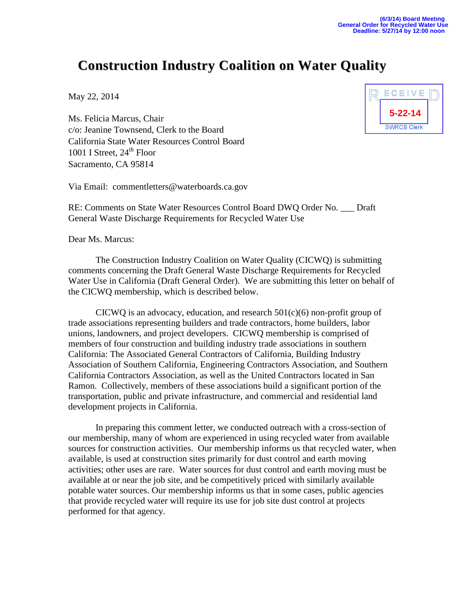## **Construction Industry Coalition on Water Quality**

May 22, 2014

Ms. Felicia Marcus, Chair c/o: Jeanine Townsend, Clerk to the Board California State Water Resources Control Board 1001 I Street,  $24<sup>th</sup>$  Floor Sacramento, CA 95814



RE: Comments on State Water Resources Control Board DWQ Order No. \_\_\_ Draft General Waste Discharge Requirements for Recycled Water Use

Dear Ms. Marcus:

The Construction Industry Coalition on Water Quality (CICWQ) is submitting comments concerning the Draft General Waste Discharge Requirements for Recycled Water Use in California (Draft General Order). We are submitting this letter on behalf of the CICWQ membership, which is described below.

CICWQ is an advocacy, education, and research  $501(c)(6)$  non-profit group of trade associations representing builders and trade contractors, home builders, labor unions, landowners, and project developers. CICWQ membership is comprised of members of four construction and building industry trade associations in southern California: The Associated General Contractors of California, Building Industry Association of Southern California, Engineering Contractors Association, and Southern California Contractors Association, as well as the United Contractors located in San Ramon. Collectively, members of these associations build a significant portion of the transportation, public and private infrastructure, and commercial and residential land development projects in California.

In preparing this comment letter, we conducted outreach with a cross-section of our membership, many of whom are experienced in using recycled water from available sources for construction activities. Our membership informs us that recycled water, when available, is used at construction sites primarily for dust control and earth moving activities; other uses are rare. Water sources for dust control and earth moving must be available at or near the job site, and be competitively priced with similarly available potable water sources. Our membership informs us that in some cases, public agencies that provide recycled water will require its use for job site dust control at projects performed for that agency.

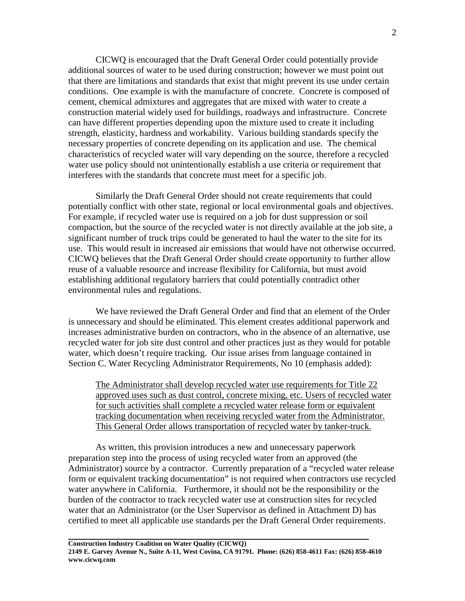CICWQ is encouraged that the Draft General Order could potentially provide additional sources of water to be used during construction; however we must point out that there are limitations and standards that exist that might prevent its use under certain conditions. One example is with the manufacture of concrete. Concrete is composed of cement, chemical admixtures and aggregates that are mixed with water to create a construction material widely used for buildings, roadways and infrastructure. Concrete can have different properties depending upon the mixture used to create it including strength, elasticity, hardness and workability. Various building standards specify the necessary properties of concrete depending on its application and use. The chemical characteristics of recycled water will vary depending on the source, therefore a recycled water use policy should not unintentionally establish a use criteria or requirement that interferes with the standards that concrete must meet for a specific job.

Similarly the Draft General Order should not create requirements that could potentially conflict with other state, regional or local environmental goals and objectives. For example, if recycled water use is required on a job for dust suppression or soil compaction, but the source of the recycled water is not directly available at the job site, a significant number of truck trips could be generated to haul the water to the site for its use. This would result in increased air emissions that would have not otherwise occurred. CICWQ believes that the Draft General Order should create opportunity to further allow reuse of a valuable resource and increase flexibility for California, but must avoid establishing additional regulatory barriers that could potentially contradict other environmental rules and regulations.

We have reviewed the Draft General Order and find that an element of the Order is unnecessary and should be eliminated. This element creates additional paperwork and increases administrative burden on contractors, who in the absence of an alternative, use recycled water for job site dust control and other practices just as they would for potable water, which doesn't require tracking. Our issue arises from language contained in Section C. Water Recycling Administrator Requirements, No 10 (emphasis added):

The Administrator shall develop recycled water use requirements for Title 22 approved uses such as dust control, concrete mixing, etc. Users of recycled water for such activities shall complete a recycled water release form or equivalent tracking documentation when receiving recycled water from the Administrator. This General Order allows transportation of recycled water by tanker-truck.

As written, this provision introduces a new and unnecessary paperwork preparation step into the process of using recycled water from an approved (the Administrator) source by a contractor. Currently preparation of a "recycled water release form or equivalent tracking documentation" is not required when contractors use recycled water anywhere in California. Furthermore, it should not be the responsibility or the burden of the contractor to track recycled water use at construction sites for recycled water that an Administrator (or the User Supervisor as defined in Attachment D) has certified to meet all applicable use standards per the Draft General Order requirements.